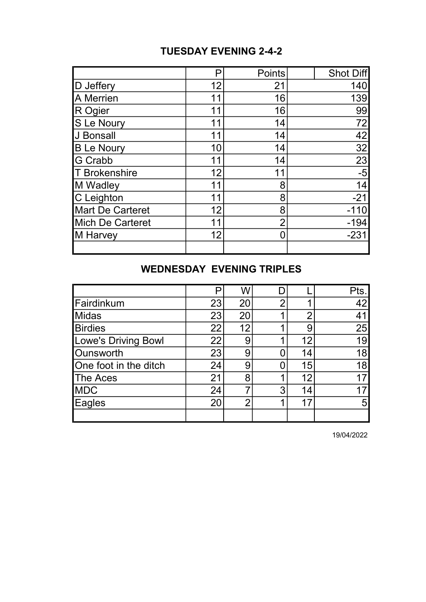## TUESDAY EVENING 2-4-2

|                         | Р  | <b>Points</b>  | Shot Diff       |
|-------------------------|----|----------------|-----------------|
| D Jeffery               | 12 | 21             | 140             |
| <b>A</b> Merrien        | 11 | 16             | 139             |
| R Ogier                 | 11 | 16             | 99              |
| S Le Noury              | 11 | 14             | 72              |
| J Bonsall               | 11 | 14             | 42              |
| <b>B Le Noury</b>       | 10 | 14             | $\overline{32}$ |
| G Crabb                 | 11 | 14             | 23              |
| T Brokenshire           | 12 | 11             | $-5$            |
| M Wadley                | 11 | 8              | 14              |
| C Leighton              | 11 | 8              | $-21$           |
| <b>Mart De Carteret</b> | 12 | 8              | $-110$          |
| <b>Mich De Carteret</b> | 11 | $\overline{2}$ | $-194$          |
| M Harvey                | 12 | 0              | $-231$          |
|                         |    |                |                 |

## WEDNESDAY EVENING TRIPLES

|                       | P  | W  |                |    | Pts. |
|-----------------------|----|----|----------------|----|------|
| Fairdinkum            | 23 | 20 | $\overline{2}$ |    | 42   |
| <b>Midas</b>          | 23 | 20 |                | 0  | 41   |
| <b>Birdies</b>        | 22 | 12 |                | g  | 25   |
| Lowe's Driving Bowl   | 22 | 9  |                | 12 | 19   |
| <b>Ounsworth</b>      | 23 | 9  |                | 14 | 18   |
| One foot in the ditch | 24 | 9  |                | 15 | 18   |
| <b>The Aces</b>       | 21 | 8  |                | 12 | 17   |
| <b>MDC</b>            | 24 |    | 3              | 14 | 17   |
| Eagles                | 20 | ◠  |                | 17 | 5    |
|                       |    |    |                |    |      |

19/04/2022